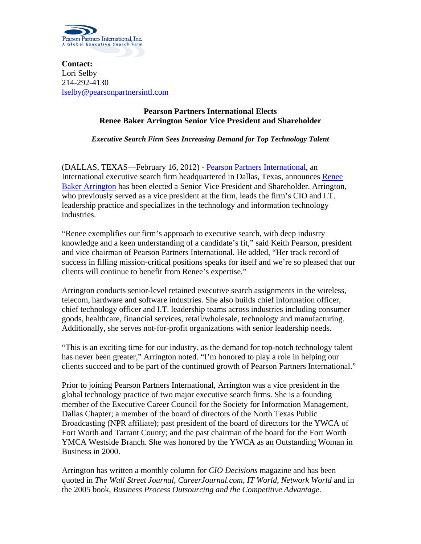

**Contact:** Lori Selby 214-292-4130 [lselby@pearsonpartnersintl.com](mailto:lselby@pearsonpartnersintl.com)

## **Pearson Partners International Elects Renee Baker Arrington Senior Vice President and Shareholder**

*Executive Search Firm Sees Increasing Demand for Top Technology Talent*

(DALLAS, TEXAS—February 16, 2012) - [Pearson Partners International,](http://www.pearsonpartnersintl.com/) an International executive search firm headquartered in Dallas, Texas, announces [Renee](http://www.pearsonpartnersintl.com/principal-rarrington.php)  [Baker Arrington](http://www.pearsonpartnersintl.com/principal-rarrington.php) has been elected a Senior Vice President and Shareholder. Arrington, who previously served as a vice president at the firm, leads the firm's CIO and I.T. leadership practice and specializes in the technology and information technology industries.

"Renee exemplifies our firm's approach to executive search, with deep industry knowledge and a keen understanding of a candidate's fit," said Keith Pearson, president and vice chairman of Pearson Partners International. He added, "Her track record of success in filling mission-critical positions speaks for itself and we're so pleased that our clients will continue to benefit from Renee's expertise."

Arrington conducts senior-level retained executive search assignments in the wireless, telecom, hardware and software industries. She also builds chief information officer, chief technology officer and I.T. leadership teams across industries including consumer goods, healthcare, financial services, retail/wholesale, technology and manufacturing. Additionally, she serves not-for-profit organizations with senior leadership needs.

"This is an exciting time for our industry, as the demand for top-notch technology talent has never been greater," Arrington noted. "I'm honored to play a role in helping our clients succeed and to be part of the continued growth of Pearson Partners International."

Prior to joining Pearson Partners International, Arrington was a vice president in the global technology practice of two major executive search firms. She is a founding member of the Executive Career Council for the Society for Information Management, Dallas Chapter; a member of the board of directors of the North Texas Public Broadcasting (NPR affiliate); past president of the board of directors for the YWCA of Fort Worth and Tarrant County; and the past chairman of the board for the Fort Worth YMCA Westside Branch. She was honored by the YWCA as an Outstanding Woman in Business in 2000.

Arrington has written a monthly column for *CIO Decisions* magazine and has been quoted in *The Wall Street Journal, CareerJournal.com, IT World, Network World* and in the 2005 book, *Business Process Outsourcing and the Competitive Advantage.*